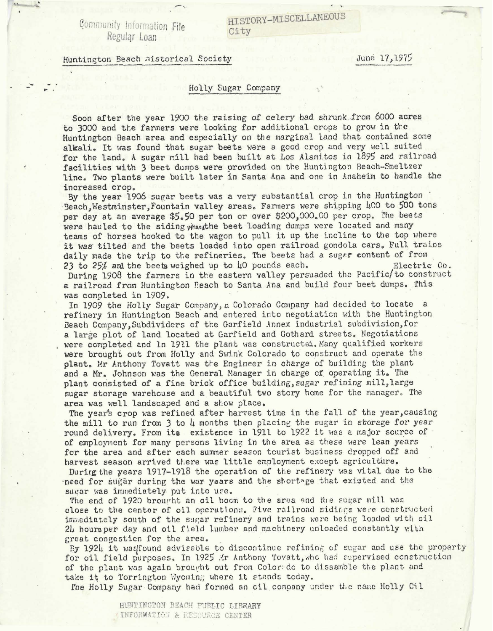Gommunity Information **File Regular** Loan

Huntinqton %ach -1istorica1 Society -- June 17,1975

## Holly Sugar Company

Soon after the year 1900 the raising of celery had shrunk from 6000 acres to 3000 and the farmers were looking for additional crops to grow in the Huntington Beach area and especially on the marginal land that contained some alkali. It was found that sugar beets were a good crop and very well suited for the land. A sugar mill had been built at Los Alamitos in 1895 and railroad facilities with 3 beet dumos were provided on the Huntington Reach-Smeltzer line. Two plants were built later in Santa Ana and one in Anaheim to handle the increased crop.

By the year 1906 sugar beets was a very substantial crop in the Huntington Beach, Westminster, Fountain valley areas. Farmers were shipping  $\mu$ 00 to 500 tons per day at an average \$5.50 per ton or over \$200,000.00 per crop. *the* beta were hauled to the siding what the beet loading dumps were located and many teams of horses hooked to the wagon to pull it up the incline to the top where it was tilted and the beets loaded into open railroad gondola cars. Full trains daily made the trip to the refineries. The beets had a sugar content of from<br>23 to 25% and the beets weighed up to 40 pounds each. **Bleet Electric Co.** 23 to 25% and the beets weighed up to 40 pounds each.

During 1908 the farmers in the eastern valley persuaded the Pacific/to construct a railroad from Huntington Peach to Santa Ana and build four beet dumps. This was completed in 1909.

In 1909 the Xolly Sugar Company, a Colorado Company had decided to locate a refinery in Huntington Seach and entered into negotiation with the Buntington Beach Company, Subdividers of the Garfield Annex industrial subdivision, for a large plot of land located at Garfield and Gothard streets. Negotiaticns were completed and ln 1911 the plant was constructed. Many qualified workers were brought out from Holly and Swink Colorado to construct and operate the plant. Mr Anthony Tovatt was the Engineer in charge of building the plant and a Mr. Johnson was the General Manager in charge of operating it. The plant consisted of a fine brick office building, sugar refining mill, large **sugar** storage varehouse and a beautiful two story home for the manager. **Tbe**  area was well landscaped and a show place.

The year's crop was refined after harvest time in the fall of the year, causing the mill to run from 3 to 4 months then placing the sugar in storage for year round delivery. From its existence in 1911 to 1922 it was a major source of of employment for many persons living in the area as these were lean years for the area and after each summer season tourist business dropped off and harvest season arrived there was little employment except agriculture.

Durirg the years 1917-1918 the operation of the refinery was vital due to the .need for sti[!jlr during tho war yaars and the ahortnge that axiotod **and** the sugar was immediately put into use.

The end of 1920 brought an oil boom to the area and the sugar mill was close to the center of oil operations. Five railroad sidings were constructed inmediately south of the sugar refinery and trains were being loaded with oil 2h houraper day and oil field lumber and machinery unloaded constantly with great congcsticn for the area.

By 1924 it was found advisable to discontinue refining of sugar and use the property for oil field purposes. In 1925 .Yr Anthony Tovatt, who had supervised construction of the plant was again brought out from Color do to dissamble the plant and take it to Torrington Wyoming where it stands today.

The Holly Sugar Company had formed an cil company under the name Holly Cil

**HUWIHGTOfl BEACH PUBSIC LIBRARY**  INFORMATION & RESOURCE CENTER